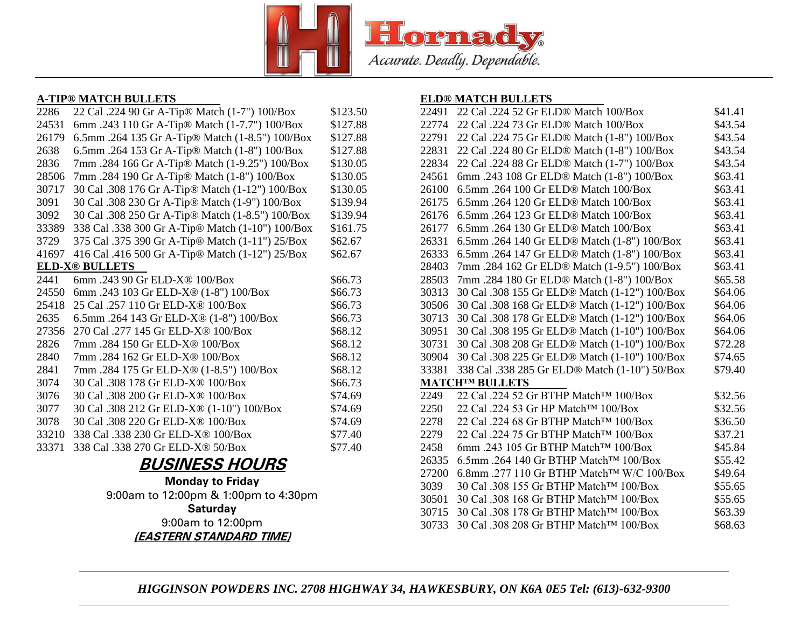

#### **A-TIP® MATCH BULLETS**

| 2286  | 22 Cal .224 90 Gr A-Tip® Match (1-7") 100/Box       | \$123.50 |
|-------|-----------------------------------------------------|----------|
| 24531 | 6mm .243 110 Gr A-Tip® Match (1-7.7") 100/Box       | \$127.88 |
| 26179 | 6.5mm .264 135 Gr A-Tip® Match (1-8.5") 100/Box     | \$127.88 |
| 2638  | 6.5mm .264 153 Gr A-Tip® Match (1-8") 100/Box       | \$127.88 |
| 2836  | 7mm .284 166 Gr A-Tip® Match (1-9.25") 100/Box      | \$130.05 |
| 28506 | 7mm .284 190 Gr A-Tip® Match (1-8") 100/Box         | \$130.05 |
| 30717 | 30 Cal .308 176 Gr A-Tip® Match (1-12") 100/Box     | \$130.05 |
| 3091  | 30 Cal .308 230 Gr A-Tip® Match (1-9") 100/Box      | \$139.94 |
| 3092  | 30 Cal .308 250 Gr A-Tip® Match (1-8.5") 100/Box    | \$139.94 |
| 33389 | 338 Cal .338 300 Gr A-Tip® Match (1-10") 100/Box    | \$161.75 |
| 3729  | 375 Cal .375 390 Gr A-Tip® Match (1-11") 25/Box     | \$62.67  |
| 41697 | 416 Cal .416 500 Gr A-Tip® Match (1-12") 25/Box     | \$62.67  |
|       | <b>ELD-X® BULLETS</b>                               |          |
| 2441  | 6mm.243 90 Gr ELD-X® 100/Box                        | \$66.73  |
| 24550 | 6mm .243 103 Gr ELD-X® (1-8") 100/Box               | \$66.73  |
| 25418 | 25 Cal .257 110 Gr ELD-X <sup>®</sup> 100/Box       | \$66.73  |
| 2635  | 6.5mm .264 143 Gr ELD-X <sup>®</sup> (1-8") 100/Box | \$66.73  |
| 27356 | 270 Cal .277 145 Gr ELD-X® 100/Box                  | \$68.12  |
| 2826  | 7mm.284 150 Gr ELD-X® 100/Box                       | \$68.12  |
| 2840  | 7mm.284 162 Gr ELD-X® 100/Box                       | \$68.12  |
| 2841  | 7mm.284 175 Gr ELD-X® (1-8.5") 100/Box              | \$68.12  |
| 3074  | 30 Cal .308 178 Gr ELD-X® 100/Box                   | \$66.73  |
| 3076  | 30 Cal .308 200 Gr ELD-X® 100/Box                   | \$74.69  |
| 3077  | 30 Cal .308 212 Gr ELD-X® (1-10") 100/Box           | \$74.69  |
| 3078  | 30 Cal .308 220 Gr ELD-X <sup>®</sup> 100/Box       | \$74.69  |
| 33210 | 338 Cal .338 230 Gr ELD-X <sup>®</sup> 100/Box      | \$77.40  |
| 33371 | 338 Cal .338 270 Gr ELD-X <sup>®</sup> 50/Box       | \$77.40  |

# **BUSINESS HOURS**

**Monday to Friday** 9:00am to 12:00pm & 1:00pm to 4:30pm **Saturday** 9:00am to 12:00pm **(EASTERN STANDARD TIME)**

#### **ELD® MATCH BULLETS**

| 22491 | 22 Cal .224 52 Gr ELD <sup>®</sup> Match 100/Box          | \$41.41 |
|-------|-----------------------------------------------------------|---------|
| 22774 | 22 Cal .224 73 Gr ELD® Match 100/Box                      | \$43.54 |
| 22791 | 22 Cal .224 75 Gr ELD <sup>®</sup> Match (1-8") 100/Box   | \$43.54 |
| 22831 | 22 Cal .224 80 Gr ELD <sup>®</sup> Match (1-8") 100/Box   | \$43.54 |
| 22834 | 22 Cal .224 88 Gr ELD® Match (1-7") 100/Box               | \$43.54 |
| 24561 | 6mm .243 108 Gr ELD® Match (1-8") 100/Box                 | \$63.41 |
| 26100 | 6.5mm .264 100 Gr ELD® Match 100/Box                      | \$63.41 |
| 26175 | 6.5mm .264 120 Gr ELD® Match 100/Box                      | \$63.41 |
| 26176 | 6.5mm .264 123 Gr ELD® Match 100/Box                      | \$63.41 |
| 26177 | 6.5mm .264 130 Gr ELD® Match 100/Box                      | \$63.41 |
| 26331 | 6.5mm .264 140 Gr ELD <sup>®</sup> Match (1-8") 100/Box   | \$63.41 |
| 26333 | 6.5mm .264 147 Gr ELD® Match (1-8") 100/Box               | \$63.41 |
| 28403 | 7mm.284 162 Gr ELD <sup>®</sup> Match (1-9.5") 100/Box    | \$63.41 |
| 28503 | 7mm.284 180 Gr ELD® Match (1-8") 100/Box                  | \$65.58 |
| 30313 | 30 Cal .308 155 Gr ELD <sup>®</sup> Match (1-12") 100/Box | \$64.06 |
| 30506 | 30 Cal .308 168 Gr ELD® Match (1-12") 100/Box             | \$64.06 |
| 30713 | 30 Cal .308 178 Gr ELD® Match (1-12") 100/Box             | \$64.06 |
| 30951 | 30 Cal .308 195 Gr ELD <sup>®</sup> Match (1-10") 100/Box | \$64.06 |
| 30731 | 30 Cal .308 208 Gr ELD® Match (1-10") 100/Box             | \$72.28 |
| 30904 | 30 Cal .308 225 Gr ELD® Match (1-10") 100/Box             | \$74.65 |
| 33381 | 338 Cal .338 285 Gr ELD® Match (1-10") 50/Box             | \$79.40 |
|       | <b>MATCH™ BULLETS</b>                                     |         |
| 2249  | 22 Cal .224 52 Gr BTHP Match™ 100/Box                     | \$32.56 |
| 2250  | 22 Cal .224 53 Gr HP Match <sup>TM</sup> 100/Box          | \$32.56 |
| 2278  | 22 Cal .224 68 Gr BTHP Match™ 100/Box                     | \$36.50 |
| 2279  | 22 Cal .224 75 Gr BTHP Match™ 100/Box                     | \$37.21 |
| 2458  | 6mm .243 105 Gr BTHP Match™ 100/Box                       | \$45.84 |
| 26335 | 6.5mm .264 140 Gr BTHP Match™ 100/Box                     | \$55.42 |
| 27200 | 6.8mm .277 110 Gr BTHP Match <sup>™</sup> W/C 100/Box     | \$49.64 |
| 3039  | 30 Cal .308 155 Gr BTHP Match™ 100/Box                    | \$55.65 |
| 30501 | 30 Cal .308 168 Gr BTHP Match™ 100/Box                    | \$55.65 |
| 30715 | 30 Cal .308 178 Gr BTHP Match™ 100/Box                    | \$63.39 |
| 30733 | 30 Cal .308 208 Gr BTHP Match™ 100/Box                    | \$68.63 |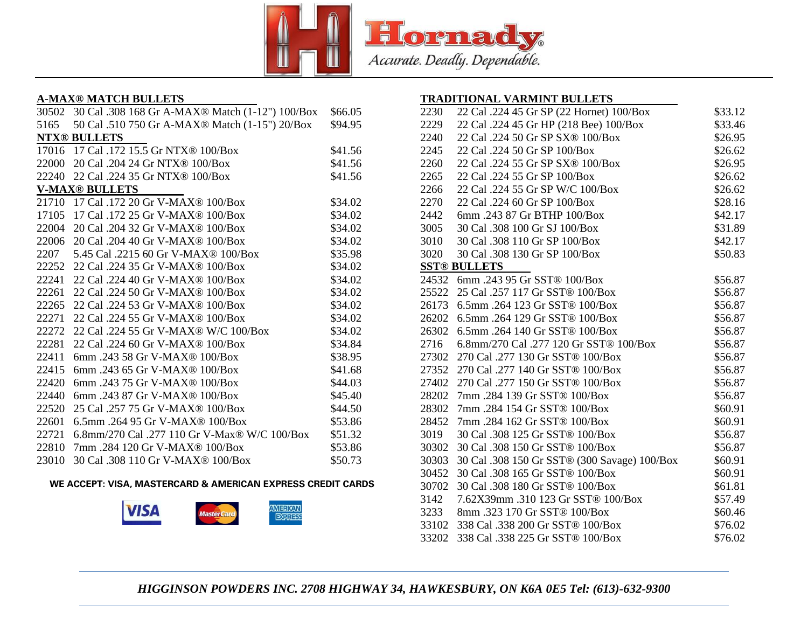

## **A-MAX® MATCH BULLETS**

| 30502 | 30 Cal .308 168 Gr A-MAX <sup>®</sup> Match (1-12") 100/Box | \$66.05 |
|-------|-------------------------------------------------------------|---------|
| 5165  | 50 Cal .510 750 Gr A-MAX® Match (1-15") 20/Box              | \$94.95 |
|       | <b>NTX® BULLETS</b>                                         |         |
|       | 17016 17 Cal .172 15.5 Gr NTX <sup>®</sup> 100/Box          | \$41.56 |
| 22000 | 20 Cal .204 24 Gr NTX® 100/Box                              | \$41.56 |
| 22240 | 22 Cal .224 35 Gr NTX <sup>®</sup> 100/Box                  | \$41.56 |
|       | <b>V-MAX® BULLETS</b>                                       |         |
|       | 21710 17 Cal .172 20 Gr V-MAX® 100/Box                      | \$34.02 |
| 17105 | 17 Cal .172 25 Gr V-MAX® 100/Box                            | \$34.02 |
| 22004 | 20 Cal .204 32 Gr V-MAX <sup>®</sup> 100/Box                | \$34.02 |
| 22006 | 20 Cal .204 40 Gr V-MAX <sup>®</sup> 100/Box                | \$34.02 |
| 2207  | 5.45 Cal .2215 60 Gr V-MAX <sup>®</sup> 100/Box             | \$35.98 |
| 22252 | 22 Cal .224 35 Gr V-MAX <sup>®</sup> 100/Box                | \$34.02 |
| 22241 | 22 Cal .224 40 Gr V-MAX <sup>®</sup> 100/Box                | \$34.02 |
| 22261 | 22 Cal .224 50 Gr V-MAX <sup>®</sup> 100/Box                | \$34.02 |
| 22265 | 22 Cal .224 53 Gr V-MAX <sup>®</sup> 100/Box                | \$34.02 |
| 22271 | 22 Cal .224 55 Gr V-MAX <sup>®</sup> 100/Box                | \$34.02 |
| 22272 | 22 Cal .224 55 Gr V-MAX <sup>®</sup> W/C 100/Box            | \$34.02 |
| 22281 | 22 Cal .224 60 Gr V-MAX <sup>®</sup> 100/Box                | \$34.84 |
| 22411 | 6mm.243 58 Gr V-MAX <sup>®</sup> 100/Box                    | \$38.95 |
| 22415 | 6mm .243 65 Gr V-MAX® 100/Box                               | \$41.68 |
| 22420 | 6mm.243 75 Gr V-MAX <sup>®</sup> 100/Box                    | \$44.03 |
| 22440 | 6mm.243 87 Gr V-MAX® 100/Box                                | \$45.40 |
| 22520 | 25 Cal .257 75 Gr V-MAX® 100/Box                            | \$44.50 |
| 22601 | 6.5mm .264 95 Gr V-MAX® 100/Box                             | \$53.86 |
| 22721 | 6.8mm/270 Cal .277 110 Gr V-Max® W/C 100/Box                | \$51.32 |
| 22810 | 7mm.284 120 Gr V-MAX® 100/Box                               | \$53.86 |
| 23010 | 30 Cal .308 110 Gr V-MAX® 100/Box                           | \$50.73 |

#### **WE ACCEPT: VISA, MASTERCARD & AMERICAN EXPRESS CREDIT CARDS**



## **TRADITIONAL VARMINT BULLETS**

| 2230  | 22 Cal .224 45 Gr SP (22 Hornet) 100/Box     | \$33.12 |
|-------|----------------------------------------------|---------|
| 2229  | 22 Cal .224 45 Gr HP (218 Bee) 100/Box       | \$33.46 |
| 2240  | 22 Cal .224 50 Gr SP SX® 100/Box             | \$26.95 |
| 2245  | 22 Cal .224 50 Gr SP 100/Box                 | \$26.62 |
| 2260  | 22 Cal .224 55 Gr SP SX® 100/Box             | \$26.95 |
| 2265  | 22 Cal .224 55 Gr SP 100/Box                 | \$26.62 |
| 2266  | 22 Cal .224 55 Gr SP W/C 100/Box             | \$26.62 |
| 2270  | 22 Cal .224 60 Gr SP 100/Box                 | \$28.16 |
| 2442  | 6mm.243 87 Gr BTHP 100/Box                   | \$42.17 |
| 3005  | 30 Cal .308 100 Gr SJ 100/Box                | \$31.89 |
| 3010  | 30 Cal .308 110 Gr SP 100/Box                | \$42.17 |
| 3020  | 30 Cal .308 130 Gr SP 100/Box                | \$50.83 |
|       | <b>SST® BULLETS</b>                          |         |
|       | 24532 6mm .243 95 Gr SST® 100/Box            | \$56.87 |
| 25522 | 25 Cal .257 117 Gr SST® 100/Box              | \$56.87 |
| 26173 | 6.5mm .264 123 Gr SST® 100/Box               | \$56.87 |
| 26202 | 6.5mm .264 129 Gr SST® 100/Box               | \$56.87 |
| 26302 | 6.5mm .264 140 Gr SST® 100/Box               | \$56.87 |
| 2716  | 6.8mm/270 Cal .277 120 Gr SST® 100/Box       | \$56.87 |
| 27302 | 270 Cal .277 130 Gr SST <sup>®</sup> 100/Box | \$56.87 |
| 27352 | 270 Cal .277 140 Gr SST® 100/Box             | \$56.87 |
| 27402 | 270 Cal .277 150 Gr SST® 100/Box             | \$56.87 |
| 28202 | 7mm.284 139 Gr SST® 100/Box                  | \$56.87 |
| 28302 | 7mm.284 154 Gr SST® 100/Box                  | \$60.91 |
| 28452 | 7mm.284 162 Gr SST® 100/Box                  | \$60.91 |
| 3019  | 30 Cal .308 125 Gr SST® 100/Box              | \$56.87 |
| 30302 | 30 Cal .308 150 Gr SST® 100/Box              | \$56.87 |
| 30303 | 30 Cal .308 150 Gr SST® (300 Savage) 100/Box | \$60.91 |
| 30452 | 30 Cal .308 165 Gr SST® 100/Box              | \$60.91 |
| 30702 | 30 Cal .308 180 Gr SST® 100/Box              | \$61.81 |
| 3142  | 7.62X39mm .310 123 Gr SST® 100/Box           | \$57.49 |
| 3233  | 8mm.323 170 Gr SST® 100/Box                  | \$60.46 |
| 33102 | 338 Cal .338 200 Gr SST® 100/Box             | \$76.02 |
| 33202 | 338 Cal .338 225 Gr SST® 100/Box             | \$76.02 |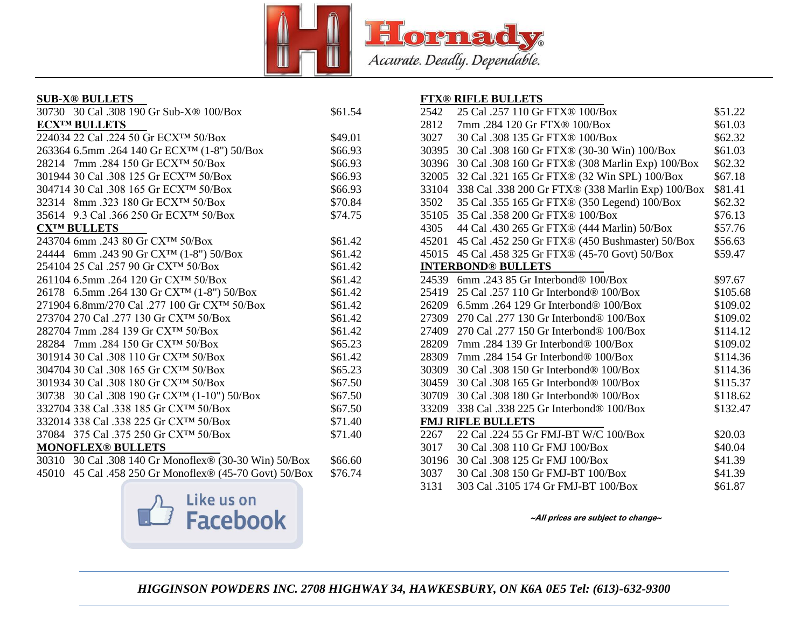

#### **SUB-X® BULLETS**

| 30730 30 Cal .308 190 Gr Sub-X <sup>®</sup> 100/Box      | \$61.54 |
|----------------------------------------------------------|---------|
| <b>ECX™ BULLETS</b>                                      |         |
| 224034 22 Cal .224 50 Gr ECX <sup>TM</sup> 50/Box        | \$49.01 |
| 263364 6.5mm .264 140 Gr ECX <sup>TM</sup> (1-8") 50/Box | \$66.93 |
| 28214 7mm .284 150 Gr ECXTM 50/Box                       | \$66.93 |
| 301944 30 Cal .308 125 Gr ECXTM 50/Box                   | \$66.93 |
| 304714 30 Cal .308 165 Gr ECXTM 50/Box                   | \$66.93 |
| 32314 8mm .323 180 Gr ECX <sup>™</sup> 50/Box            | \$70.84 |
| 35614 9.3 Cal .366 250 Gr ECX <sup>TM</sup> 50/Box       | \$74.75 |
| <b>CXTM BULLETS</b>                                      |         |
| 243704 6mm .243 80 Gr CXTM 50/Box                        | \$61.42 |
| 24444 6mm .243 90 Gr CX <sup>TM</sup> (1-8") 50/Box      | \$61.42 |
| 254104 25 Cal .257 90 Gr CXTM 50/Box                     | \$61.42 |
| 261104 6.5mm .264 120 Gr CX <sup>™</sup> 50/Box          | \$61.42 |
| 26178 6.5mm .264 130 Gr CX <sup>TM</sup> (1-8") 50/Box   | \$61.42 |
| 271904 6.8mm/270 Cal .277 100 Gr CX <sup>TM</sup> 50/Box | \$61.42 |
| 273704 270 Cal .277 130 Gr CX <sup>TM</sup> 50/Box       | \$61.42 |
| 282704 7mm .284 139 Gr CXTM 50/Box                       | \$61.42 |
| 28284 7mm .284 150 Gr CXTM 50/Box                        | \$65.23 |
| 301914 30 Cal .308 110 Gr CXTM 50/Box                    | \$61.42 |
| 304704 30 Cal .308 165 Gr CX <sup>TM</sup> 50/Box        | \$65.23 |
| 301934 30 Cal .308 180 Gr CX <sup>TM</sup> 50/Box        | \$67.50 |
| 30738 30 Cal .308 190 Gr CX <sup>TM</sup> (1-10") 50/Box | \$67.50 |
| 332704 338 Cal .338 185 Gr CXTM 50/Box                   | \$67.50 |
| 332014 338 Cal .338 225 Gr CXTM 50/Box                   | \$71.40 |
| 37084 375 Cal .375 250 Gr CXTM 50/Box                    | \$71.40 |
| <b>MONOFLEX® BULLETS</b>                                 |         |
| 30310 30 Cal .308 140 Gr Monoflex® (30-30 Win) 50/Box    | \$66.60 |
| 45010 45 Cal .458 250 Gr Monoflex® (45-70 Govt) 50/Box   | \$76.74 |



#### **FTX® RIFLE BULLETS**

| 2542  | 25 Cal .257 110 Gr FTX® 100/Box                   | \$51.22  |
|-------|---------------------------------------------------|----------|
| 2812  | 7mm.284 120 Gr FTX® 100/Box                       | \$61.03  |
| 3027  | 30 Cal .308 135 Gr FTX® 100/Box                   | \$62.32  |
| 30395 | 30 Cal .308 160 Gr FTX® (30-30 Win) 100/Box       | \$61.03  |
| 30396 | 30 Cal .308 160 Gr FTX® (308 Marlin Exp) 100/Box  | \$62.32  |
| 32005 | 32 Cal .321 165 Gr FTX® (32 Win SPL) 100/Box      | \$67.18  |
| 33104 | 338 Cal .338 200 Gr FTX® (338 Marlin Exp) 100/Box | \$81.41  |
| 3502  | 35 Cal .355 165 Gr FTX® (350 Legend) 100/Box      | \$62.32  |
| 35105 | 35 Cal .358 200 Gr FTX® 100/Box                   | \$76.13  |
| 4305  | 44 Cal .430 265 Gr FTX® (444 Marlin) 50/Box       | \$57.76  |
| 45201 | 45 Cal .452 250 Gr FTX® (450 Bushmaster) 50/Box   | \$56.63  |
| 45015 | 45 Cal .458 325 Gr FTX® (45-70 Govt) 50/Box       | \$59.47  |
|       | <b>INTERBOND® BULLETS</b>                         |          |
| 24539 | 6mm. 243 85 Gr Interbond $\&$ 100/Box             | \$97.67  |
| 25419 | 25 Cal .257 110 Gr Interbond® 100/Box             | \$105.68 |
| 26209 | 6.5mm .264 129 Gr Interbond® 100/Box              | \$109.02 |
| 27309 | 270 Cal .277 130 Gr Interbond® 100/Box            | \$109.02 |
| 27409 | 270 Cal .277 150 Gr Interbond® 100/Box            | \$114.12 |
| 28209 | 7mm.284 139 Gr Interbond® 100/Box                 | \$109.02 |
| 28309 | 7mm.284 154 Gr Interbond® 100/Box                 | \$114.36 |
| 30309 | 30 Cal .308 150 Gr Interbond® 100/Box             | \$114.36 |
| 30459 | 30 Cal .308 165 Gr Interbond® 100/Box             | \$115.37 |
| 30709 | 30 Cal .308 180 Gr Interbond® 100/Box             | \$118.62 |
| 33209 | 338 Cal .338 225 Gr Interbond® 100/Box            | \$132.47 |
|       | <b>FMJ RIFLE BULLETS</b>                          |          |
| 2267  | 22 Cal .224 55 Gr FMJ-BT W/C 100/Box              | \$20.03  |
| 3017  | 30 Cal .308 110 Gr FMJ 100/Box                    | \$40.04  |
| 30196 | 30 Cal .308 125 Gr FMJ 100/Box                    | \$41.39  |
| 3037  | 30 Cal .308 150 Gr FMJ-BT 100/Box                 | \$41.39  |
| 3131  | 303 Cal .3105 174 Gr FMJ-BT 100/Box               | \$61.87  |
|       |                                                   |          |

**~All prices are subject to change~**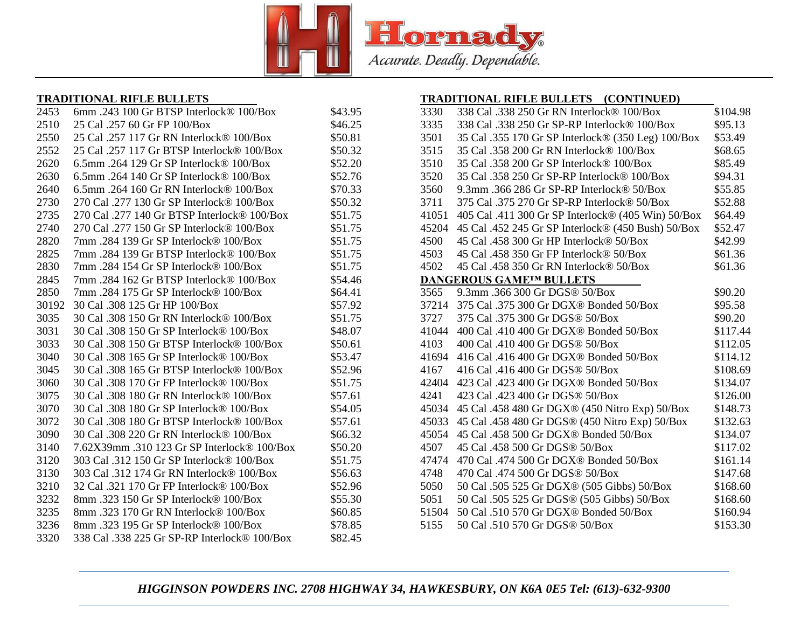

## **TRADITIONAL RIFLE BULLETS**

| 2453  | 6mm .243 100 Gr BTSP Interlock® 100/Box      | \$43.95 |
|-------|----------------------------------------------|---------|
| 2510  | 25 Cal .257 60 Gr FP 100/Box                 | \$46.25 |
| 2550  | 25 Cal .257 117 Gr RN Interlock® 100/Box     | \$50.81 |
| 2552  | 25 Cal .257 117 Gr BTSP Interlock® 100/Box   | \$50.32 |
| 2620  | 6.5mm .264 129 Gr SP Interlock® 100/Box      | \$52.20 |
| 2630  | 6.5mm .264 140 Gr SP Interlock® 100/Box      | \$52.76 |
| 2640  | 6.5mm .264 160 Gr RN Interlock® 100/Box      | \$70.33 |
| 2730  | 270 Cal .277 130 Gr SP Interlock® 100/Box    | \$50.32 |
| 2735  | 270 Cal .277 140 Gr BTSP Interlock® 100/Box  | \$51.75 |
| 2740  | 270 Cal .277 150 Gr SP Interlock® 100/Box    | \$51.75 |
| 2820  | 7mm.284 139 Gr SP Interlock® 100/Box         | \$51.75 |
| 2825  | 7mm.284 139 Gr BTSP Interlock® 100/Box       | \$51.75 |
| 2830  | 7mm .284 154 Gr SP Interlock® 100/Box        | \$51.75 |
| 2845  | 7mm.284 162 Gr BTSP Interlock® 100/Box       | \$54.46 |
| 2850  | 7mm.284 175 Gr SP Interlock® 100/Box         | \$64.41 |
| 30192 | 30 Cal .308 125 Gr HP 100/Box                | \$57.92 |
| 3035  | 30 Cal .308 150 Gr RN Interlock® 100/Box     | \$51.75 |
| 3031  | 30 Cal .308 150 Gr SP Interlock® 100/Box     | \$48.07 |
| 3033  | 30 Cal .308 150 Gr BTSP Interlock® 100/Box   | \$50.61 |
| 3040  | 30 Cal .308 165 Gr SP Interlock® 100/Box     | \$53.47 |
| 3045  | 30 Cal .308 165 Gr BTSP Interlock® 100/Box   | \$52.96 |
| 3060  | 30 Cal .308 170 Gr FP Interlock® 100/Box     | \$51.75 |
| 3075  | 30 Cal .308 180 Gr RN Interlock® 100/Box     | \$57.61 |
| 3070  | 30 Cal .308 180 Gr SP Interlock® 100/Box     | \$54.05 |
| 3072  | 30 Cal .308 180 Gr BTSP Interlock® 100/Box   | \$57.61 |
| 3090  | 30 Cal .308 220 Gr RN Interlock® 100/Box     | \$66.32 |
| 3140  | 7.62X39mm .310 123 Gr SP Interlock® 100/Box  | \$50.20 |
| 3120  | 303 Cal .312 150 Gr SP Interlock® 100/Box    | \$51.75 |
| 3130  | 303 Cal .312 174 Gr RN Interlock® 100/Box    | \$56.63 |
| 3210  | 32 Cal .321 170 Gr FP Interlock® 100/Box     | \$52.96 |
| 3232  | 8mm.323 150 Gr SP Interlock® 100/Box         | \$55.30 |
| 3235  | 8mm .323 170 Gr RN Interlock® 100/Box        | \$60.85 |
| 3236  | 8mm .323 195 Gr SP Interlock® 100/Box        | \$78.85 |
| 3320  | 338 Cal .338 225 Gr SP-RP Interlock® 100/Box | \$82.45 |
|       |                                              |         |

## **TRADITIONAL RIFLE BULLETS (CONTINUED)**

| 3330  | 338 Cal .338 250 Gr RN Interlock® 100/Box          | \$104.98 |
|-------|----------------------------------------------------|----------|
| 3335  | 338 Cal .338 250 Gr SP-RP Interlock® 100/Box       | \$95.13  |
| 3501  | 35 Cal .355 170 Gr SP Interlock® (350 Leg) 100/Box | \$53.49  |
| 3515  | 35 Cal .358 200 Gr RN Interlock® 100/Box           | \$68.65  |
| 3510  | 35 Cal .358 200 Gr SP Interlock® 100/Box           | \$85.49  |
| 3520  | 35 Cal .358 250 Gr SP-RP Interlock® 100/Box        | \$94.31  |
| 3560  | 9.3mm .366 286 Gr SP-RP Interlock® 50/Box          | \$55.85  |
| 3711  | 375 Cal .375 270 Gr SP-RP Interlock® 50/Box        | \$52.88  |
| 41051 | 405 Cal .411 300 Gr SP Interlock® (405 Win) 50/Box | \$64.49  |
| 45204 | 45 Cal .452 245 Gr SP Interlock® (450 Bush) 50/Box | \$52.47  |
| 4500  | 45 Cal .458 300 Gr HP Interlock® 50/Box            | \$42.99  |
| 4503  | 45 Cal .458 350 Gr FP Interlock® 50/Box            | \$61.36  |
| 4502  | 45 Cal .458 350 Gr RN Interlock® 50/Box            | \$61.36  |
|       | <b>DANGEROUS GAMETM BULLETS</b>                    |          |
| 3565  | 9.3mm .366 300 Gr DGS® 50/Box                      | \$90.20  |
| 37214 | 375 Cal .375 300 Gr DGX® Bonded 50/Box             | \$95.58  |
| 3727  | 375 Cal .375 300 Gr DGS® 50/Box                    | \$90.20  |
| 41044 | 400 Cal .410 400 Gr DGX® Bonded 50/Box             | \$117.44 |
| 4103  | 400 Cal .410 400 Gr DGS® 50/Box                    | \$112.05 |
| 41694 | 416 Cal .416 400 Gr DGX® Bonded 50/Box             | \$114.12 |
| 4167  | 416 Cal .416 400 Gr DGS® 50/Box                    | \$108.69 |
| 42404 | 423 Cal .423 400 Gr DGX® Bonded 50/Box             | \$134.07 |
| 4241  | 423 Cal .423 400 Gr DGS® 50/Box                    | \$126.00 |
| 45034 | 45 Cal .458 480 Gr DGX® (450 Nitro Exp) 50/Box     | \$148.73 |
| 45033 | 45 Cal .458 480 Gr DGS® (450 Nitro Exp) 50/Box     | \$132.63 |
| 45054 | 45 Cal .458 500 Gr DGX® Bonded 50/Box              | \$134.07 |
| 4507  | 45 Cal .458 500 Gr DGS® 50/Box                     | \$117.02 |
| 47474 | 470 Cal .474 500 Gr DGX® Bonded 50/Box             | \$161.14 |
| 4748  | 470 Cal .474 500 Gr DGS® 50/Box                    | \$147.68 |
| 5050  | 50 Cal .505 525 Gr DGX® (505 Gibbs) 50/Box         | \$168.60 |
| 5051  | 50 Cal .505 525 Gr DGS® (505 Gibbs) 50/Box         | \$168.60 |
| 51504 | 50 Cal .510 570 Gr DGX® Bonded 50/Box              | \$160.94 |
| 5155  | 50 Cal .510 570 Gr DGS® 50/Box                     | \$153.30 |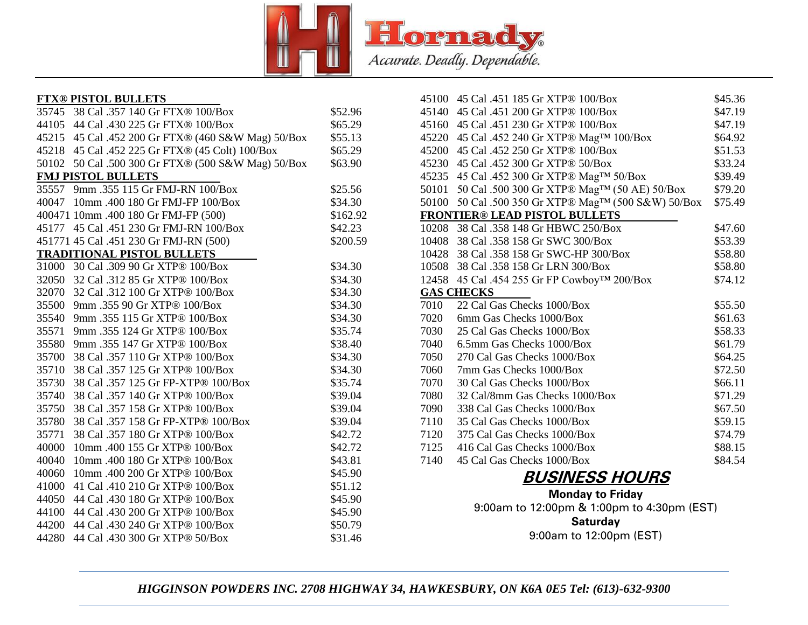

| <b>FTX® PISTOL BULLETS</b>                            |          |
|-------------------------------------------------------|----------|
| 35745 38 Cal .357 140 Gr FTX® 100/Box                 | \$52.96  |
| 44105 44 Cal .430 225 Gr FTX® 100/Box                 | \$65.29  |
| 45215 45 Cal .452 200 Gr FTX® (460 S&W Mag) 50/Box    | \$55.13  |
| 45218 45 Cal .452 225 Gr FTX® (45 Colt) 100/Box       | \$65.29  |
| 50 Cal .500 300 Gr FTX® (500 S&W Mag) 50/Box<br>50102 | \$63.90  |
| <b>FMJ PISTOL BULLETS</b>                             |          |
| 35557 9mm .355 115 Gr FMJ-RN 100/Box                  | \$25.56  |
| 40047 10mm .400 180 Gr FMJ-FP 100/Box                 | \$34.30  |
| 400471 10mm .400 180 Gr FMJ-FP (500)                  | \$162.92 |
| 45177 45 Cal .451 230 Gr FMJ-RN 100/Box               | \$42.23  |
| 451771 45 Cal .451 230 Gr FMJ-RN (500)                | \$200.59 |
| <b>TRADITIONAL PISTOL BULLETS</b>                     |          |
| 31000 30 Cal .309 90 Gr XTP® 100/Box                  | \$34.30  |
| 32 Cal .312 85 Gr XTP® 100/Box<br>32050               | \$34.30  |
| 32 Cal .312 100 Gr XTP® 100/Box<br>32070              | \$34.30  |
| 9mm .355 90 Gr XTP® 100/Box<br>35500                  | \$34.30  |
| 9mm .355 115 Gr XTP® 100/Box<br>35540                 | \$34.30  |
| 9mm .355 124 Gr XTP® 100/Box<br>35571                 | \$35.74  |
| 9mm .355 147 Gr XTP® 100/Box<br>35580                 | \$38.40  |
| 35700<br>38 Cal .357 110 Gr XTP® 100/Box              | \$34.30  |
| 38 Cal .357 125 Gr XTP® 100/Box<br>35710              | \$34.30  |
| 38 Cal .357 125 Gr FP-XTP® 100/Box<br>35730           | \$35.74  |
| 38 Cal .357 140 Gr XTP® 100/Box<br>35740              | \$39.04  |
| 38 Cal .357 158 Gr XTP® 100/Box<br>35750              | \$39.04  |
| 38 Cal .357 158 Gr FP-XTP® 100/Box<br>35780           | \$39.04  |
| 38 Cal .357 180 Gr XTP® 100/Box<br>35771              | \$42.72  |
| 10mm .400 155 Gr XTP® 100/Box<br>40000                | \$42.72  |
| 10mm .400 180 Gr XTP® 100/Box<br>40040                | \$43.81  |
| 10mm .400 200 Gr XTP® 100/Box<br>40060                | \$45.90  |
| 41 Cal .410 210 Gr XTP® 100/Box<br>41000              | \$51.12  |
| 44 Cal .430 180 Gr XTP® 100/Box<br>44050              | \$45.90  |
| 44100 44 Cal .430 200 Gr XTP® 100/Box                 | \$45.90  |
| 44 Cal .430 240 Gr XTP® 100/Box<br>44200              | \$50.79  |

44 Cal .430 300 Gr XTP® 50/Box \$31.46

|       | 45100 45 Cal .451 185 Gr XTP® 100/Box          | \$45.36 |
|-------|------------------------------------------------|---------|
| 45140 | 45 Cal .451 200 Gr XTP® 100/Box                | \$47.19 |
|       | 45160 45 Cal .451 230 Gr XTP® 100/Box          | \$47.19 |
|       | 45220 45 Cal .452 240 Gr XTP® MagTM 100/Box    | \$64.92 |
|       | 45200 45 Cal .452 250 Gr XTP® 100/Box          | \$51.53 |
|       | 45230 45 Cal .452 300 Gr XTP® 50/Box           | \$33.24 |
|       | 45235 45 Cal .452 300 Gr XTP® Mag™ 50/Box      | \$39.49 |
| 50101 | 50 Cal .500 300 Gr XTP® MagTM (50 AE) 50/Box   | \$79.20 |
| 50100 | 50 Cal .500 350 Gr XTP® MagTM (500 S&W) 50/Box | \$75.49 |
|       | <b>FRONTIER® LEAD PISTOL BULLETS</b>           |         |
| 10208 | 38 Cal .358 148 Gr HBWC 250/Box                | \$47.60 |
|       | 10408 38 Cal .358 158 Gr SWC 300/Box           | \$53.39 |
|       | 10428 38 Cal .358 158 Gr SWC-HP 300/Box        | \$58.80 |
| 10508 | 38 Cal .358 158 Gr LRN 300/Box                 | \$58.80 |
| 12458 | 45 Cal .454 255 Gr FP Cowboy™ 200/Box          | \$74.12 |
|       | <b>GAS CHECKS</b>                              |         |
| 7010  | 22 Cal Gas Checks 1000/Box                     | \$55.50 |
| 7020  | 6mm Gas Checks 1000/Box                        | \$61.63 |
| 7030  | 25 Cal Gas Checks 1000/Box                     | \$58.33 |
| 7040  | 6.5mm Gas Checks 1000/Box                      | \$61.79 |
| 7050  | 270 Cal Gas Checks 1000/Box                    | \$64.25 |
| 7060  | 7mm Gas Checks 1000/Box                        | \$72.50 |
| 7070  | 30 Cal Gas Checks 1000/Box                     | \$66.11 |
| 7080  | 32 Cal/8mm Gas Checks 1000/Box                 | \$71.29 |
| 7090  | 338 Cal Gas Checks 1000/Box                    | \$67.50 |
| 7110  | 35 Cal Gas Checks 1000/Box                     | \$59.15 |
| 7120  | 375 Cal Gas Checks 1000/Box                    | \$74.79 |
| 7125  | 416 Cal Gas Checks 1000/Box                    | \$88.15 |
| 7140  | 45 Cal Gas Checks 1000/Box                     | \$84.54 |
|       | <b>BUSINESS HOURS</b>                          |         |

**Monday to Friday** 9:00am to 12:00pm & 1:00pm to 4:30pm (EST) **Saturday** 9:00am to 12:00pm (EST)